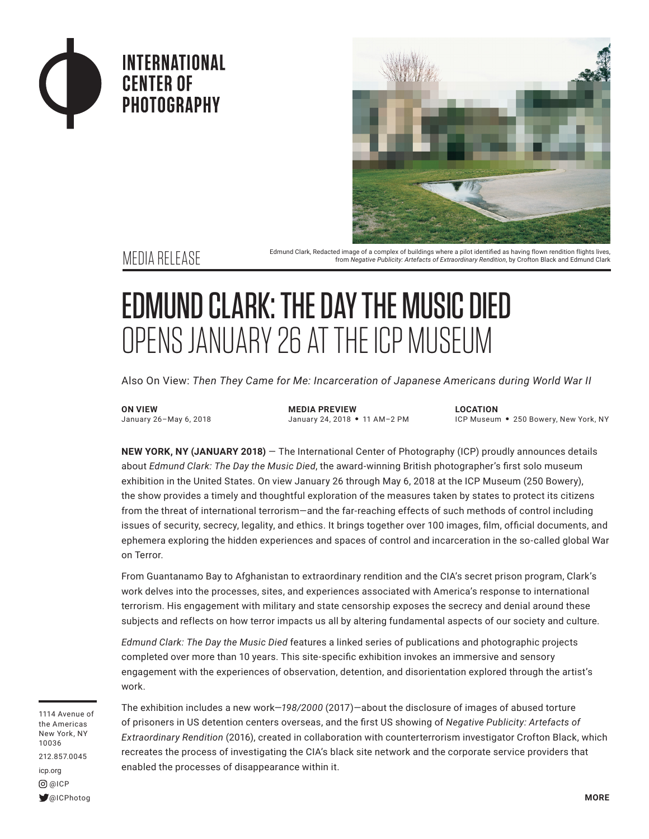



Edmund Clark, Redacted image of a complex of buildings where a pilot identified as having flown rendition flights lives,<br>from Negative Publicity: Artefacts of Extraordinary Rendition, by Crofton Black and Edmund Clark from *Negative Publicity: Artefacts of Extraordinary Rendition*, by Crofton Black and Edmund Clark

## EDMUND CLARK: THE DAY THE MUSIC DIED OPENS JANUARY 26 AT THE ICP MUSEUM

Also On View: *Then They Came for Me: Incarceration of Japanese Americans during World War II*

**ON VIEW** January 26–May 6, 2018 **MEDIA PREVIEW** January 24, 2018 • 11 AM-2 PM **LOCATION**

ICP Museum • 250 Bowery, New York, NY

**NEW YORK, NY (JANUARY 2018)** — The International Center of Photography (ICP) proudly announces details about *Edmund Clark: The Day the Music Died*, the award-winning British photographer's first solo museum exhibition in the United States. On view January 26 through May 6, 2018 at the ICP Museum (250 Bowery), the show provides a timely and thoughtful exploration of the measures taken by states to protect its citizens from the threat of international terrorism—and the far-reaching effects of such methods of control including issues of security, secrecy, legality, and ethics. It brings together over 100 images, film, official documents, and ephemera exploring the hidden experiences and spaces of control and incarceration in the so-called global War on Terror.

From Guantanamo Bay to Afghanistan to extraordinary rendition and the CIA's secret prison program, Clark's work delves into the processes, sites, and experiences associated with America's response to international terrorism. His engagement with military and state censorship exposes the secrecy and denial around these subjects and reflects on how terror impacts us all by altering fundamental aspects of our society and culture.

*Edmund Clark: The Day the Music Died* features a linked series of publications and photographic projects completed over more than 10 years. This site-specific exhibition invokes an immersive and sensory engagement with the experiences of observation, detention, and disorientation explored through the artist's work.

1114 Avenue of the Americas New York, NY 10036 212.857.0045 icp.org @ICP @ICPhotog

The exhibition includes a new work—*198/2000* (2017)—about the disclosure of images of abused torture of prisoners in US detention centers overseas, and the first US showing of *Negative Publicity: Artefacts of Extraordinary Rendition* (2016), created in collaboration with counterterrorism investigator Crofton Black, which recreates the process of investigating the CIA's black site network and the corporate service providers that enabled the processes of disappearance within it.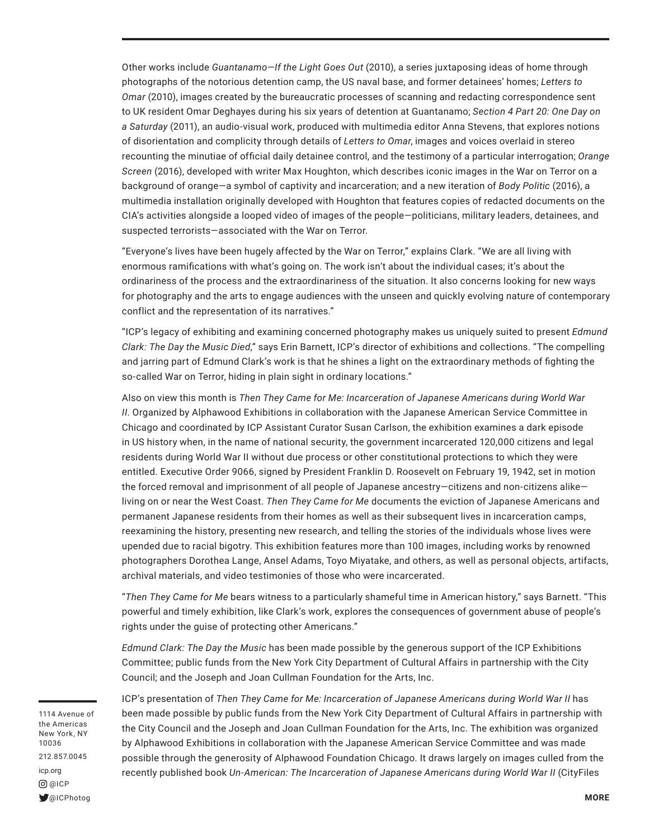Other works include *Guantanamo—If the Light Goes Out* (2010), a series juxtaposing ideas of home through photographs of the notorious detention camp, the US naval base, and former detainees' homes; *Letters to Omar* (2010), images created by the bureaucratic processes of scanning and redacting correspondence sent to UK resident Omar Deghayes during his six years of detention at Guantanamo; *Section 4 Part 20: One Day on a Saturday* (2011), an audio-visual work, produced with multimedia editor Anna Stevens, that explores notions of disorientation and complicity through details of *Letters to Omar*, images and voices overlaid in stereo recounting the minutiae of official daily detainee control, and the testimony of a particular interrogation; *Orange Screen* (2016), developed with writer Max Houghton, which describes iconic images in the War on Terror on a background of orange—a symbol of captivity and incarceration; and a new iteration of *Body Politic* (2016), a multimedia installation originally developed with Houghton that features copies of redacted documents on the CIA's activities alongside a looped video of images of the people—politicians, military leaders, detainees, and suspected terrorists—associated with the War on Terror.

"Everyone's lives have been hugely affected by the War on Terror," explains Clark. "We are all living with enormous ramifications with what's going on. The work isn't about the individual cases; it's about the ordinariness of the process and the extraordinariness of the situation. It also concerns looking for new ways for photography and the arts to engage audiences with the unseen and quickly evolving nature of contemporary conflict and the representation of its narratives."

"ICP's legacy of exhibiting and examining concerned photography makes us uniquely suited to present *Edmund Clark: The Day the Music Died*," says Erin Barnett, ICP's director of exhibitions and collections. "The compelling and jarring part of Edmund Clark's work is that he shines a light on the extraordinary methods of fighting the so-called War on Terror, hiding in plain sight in ordinary locations."

Also on view this month is *Then They Came for Me: Incarceration of Japanese Americans during World War II*. Organized by Alphawood Exhibitions in collaboration with the Japanese American Service Committee in Chicago and coordinated by ICP Assistant Curator Susan Carlson, the exhibition examines a dark episode in US history when, in the name of national security, the government incarcerated 120,000 citizens and legal residents during World War II without due process or other constitutional protections to which they were entitled. Executive Order 9066, signed by President Franklin D. Roosevelt on February 19, 1942, set in motion the forced removal and imprisonment of all people of Japanese ancestry—citizens and non-citizens alike living on or near the West Coast. *Then They Came for Me* documents the eviction of Japanese Americans and permanent Japanese residents from their homes as well as their subsequent lives in incarceration camps, reexamining the history, presenting new research, and telling the stories of the individuals whose lives were upended due to racial bigotry. This exhibition features more than 100 images, including works by renowned photographers Dorothea Lange, Ansel Adams, Toyo Miyatake, and others, as well as personal objects, artifacts, archival materials, and video testimonies of those who were incarcerated.

"*Then They Came for Me* bears witness to a particularly shameful time in American history," says Barnett. "This powerful and timely exhibition, like Clark's work, explores the consequences of government abuse of people's rights under the guise of protecting other Americans."

*Edmund Clark: The Day the Music* has been made possible by the generous support of the ICP Exhibitions Committee; public funds from the New York City Department of Cultural Affairs in partnership with the City Council; and the Joseph and Joan Cullman Foundation for the Arts, Inc.

1114 Avenue of the Americas New York, NY 10036 212.857.0045 icp.org @ICP @ICPhotog

ICP's presentation of *Then They Came for Me: Incarceration of Japanese Americans during World War II* has been made possible by public funds from the New York City Department of Cultural Affairs in partnership with the City Council and the Joseph and Joan Cullman Foundation for the Arts, Inc. The exhibition was organized by Alphawood Exhibitions in collaboration with the Japanese American Service Committee and was made possible through the generosity of Alphawood Foundation Chicago. It draws largely on images culled from the recently published book *Un-American: The Incarceration of Japanese Americans during World War II* (CityFiles